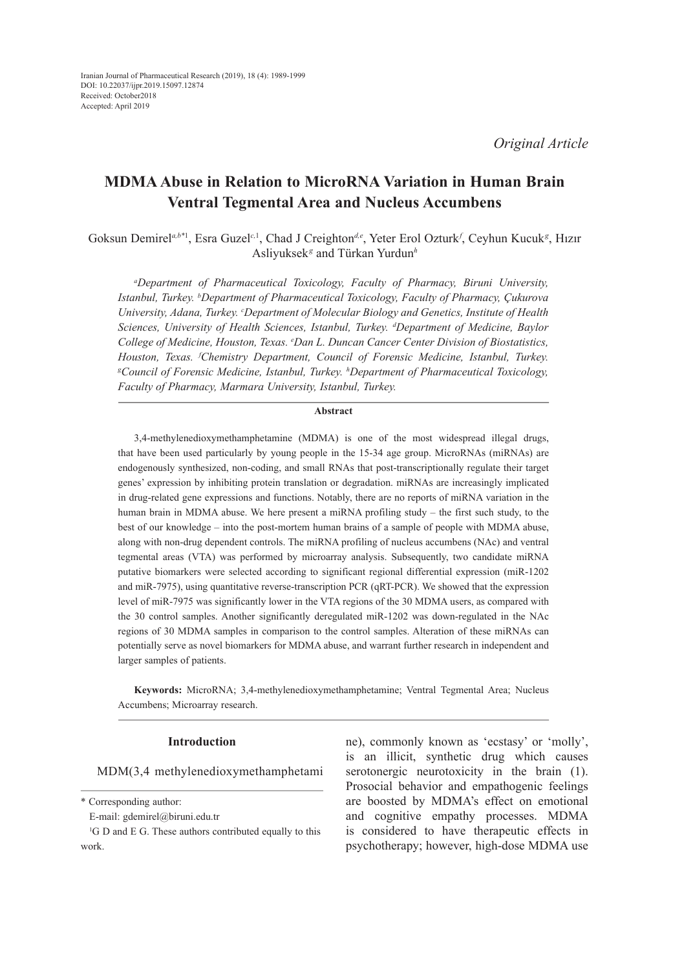*Original Article*

# **MDMA Abuse in Relation to MicroRNA Variation in Human Brain Ventral Tegmental Area and Nucleus Accumbens**

Goksun Demirel<sup>a,b\*1</sup>, Esra Guzel<sup>c, 1</sup>, Chad J Creighton<sup>d,e</sup>, Yeter Erol Ozturk<sup>,</sup> Ceyhun Kucuk<sup>g</sup>, Hızır Asliyuksek*<sup>g</sup>* and Türkan Yurdun*<sup>h</sup>*

*a Department of Pharmaceutical Toxicology, Faculty of Pharmacy, Biruni University, Istanbul, Turkey. b Department of Pharmaceutical Toxicology, Faculty of Pharmacy, Çukurova University, Adana, Turkey. c Department of Molecular Biology and Genetics, Institute of Health Sciences, University of Health Sciences, Istanbul, Turkey. d Department of Medicine, Baylor College of Medicine, Houston, Texas. e Dan L. Duncan Cancer Center Division of Biostatistics, Houston, Texas. <sup><i>I*</sup>Chemistry Department, Council of Forensic Medicine, Istanbul, Turkey.<br><sup>g</sup>Council of Forensic Medicine, Istanbul, Turkey <sup>h</sup>Department of Pharmaceutical Toxicology. *Council of Forensic Medicine, Istanbul, Turkey. h Department of Pharmaceutical Toxicology, Faculty of Pharmacy, Marmara University, Istanbul, Turkey.*

#### **Abstract**

3,4-methylenedioxymethamphetamine (MDMA) is one of the most widespread illegal drugs, that have been used particularly by young people in the 15-34 age group. MicroRNAs (miRNAs) are endogenously synthesized, non-coding, and small RNAs that post-transcriptionally regulate their target genes' expression by inhibiting protein translation or degradation. miRNAs are increasingly implicated in drug-related gene expressions and functions. Notably, there are no reports of miRNA variation in the human brain in MDMA abuse. We here present a miRNA profiling study – the first such study, to the best of our knowledge – into the post-mortem human brains of a sample of people with MDMA abuse, along with non-drug dependent controls. The miRNA profiling of nucleus accumbens (NAc) and ventral tegmental areas (VTA) was performed by microarray analysis. Subsequently, two candidate miRNA putative biomarkers were selected according to significant regional differential expression (miR-1202 and miR-7975), using quantitative reverse-transcription PCR (qRT-PCR). We showed that the expression level of miR-7975 was significantly lower in the VTA regions of the 30 MDMA users, as compared with the 30 control samples. Another significantly deregulated miR-1202 was down-regulated in the NAc regions of 30 MDMA samples in comparison to the control samples. Alteration of these miRNAs can potentially serve as novel biomarkers for MDMA abuse, and warrant further research in independent and larger samples of patients.

**Keywords:** MicroRNA; 3,4-methylenedioxymethamphetamine; Ventral Tegmental Area; Nucleus Accumbens; Microarray research.

#### **Introduction**

MDM(3,4 methylenedioxymethamphetami

\* Corresponding author:

ne), commonly known as 'ecstasy' or 'molly', is an illicit, synthetic drug which causes serotonergic neurotoxicity in the brain (1). Prosocial behavior and empathogenic feelings are boosted by MDMA's effect on emotional and cognitive empathy processes. MDMA is considered to have therapeutic effects in psychotherapy; however, high-dose MDMA use

E-mail: gdemirel@biruni.edu.tr

<sup>&</sup>lt;sup>1</sup>G D and E G. These authors contributed equally to this work.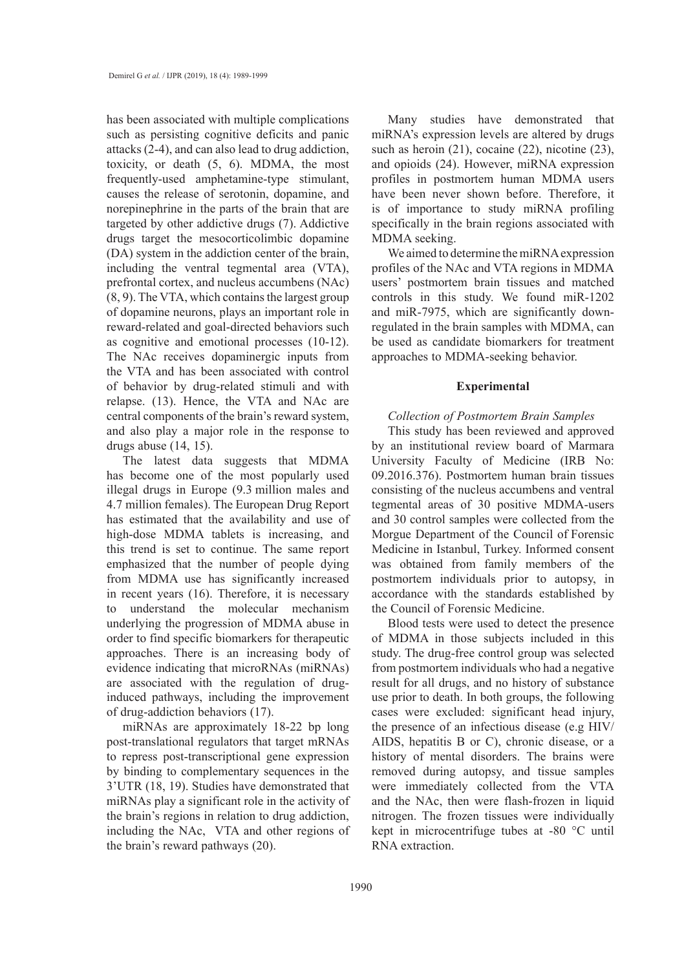has been associated with multiple complications such as persisting cognitive deficits and panic attacks (2-4), and can also lead to drug addiction, toxicity, or death (5, 6). MDMA, the most frequently-used amphetamine-type stimulant, causes the release of serotonin, dopamine, and norepinephrine in the parts of the brain that are targeted by other addictive drugs (7). Addictive drugs target the mesocorticolimbic dopamine (DA) system in the addiction center of the brain, including the ventral tegmental area (VTA), prefrontal cortex, and nucleus accumbens (NAc) (8, 9). The VTA, which contains the largest group of dopamine neurons, plays an important role in reward-related and goal-directed behaviors such as cognitive and emotional processes (10-12). The NAc receives dopaminergic inputs from the VTA and has been associated with control of behavior by drug-related stimuli and with relapse. (13). Hence, the VTA and NAc are central components of the brain's reward system, and also play a major role in the response to drugs abuse (14, 15).

The latest data suggests that MDMA has become one of the most popularly used illegal drugs in Europe (9.3 million males and 4.7 million females). The European Drug Report has estimated that the availability and use of high-dose MDMA tablets is increasing, and this trend is set to continue. The same report emphasized that the number of people dying from MDMA use has significantly increased in recent years (16). Therefore, it is necessary to understand the molecular mechanism underlying the progression of MDMA abuse in order to find specific biomarkers for therapeutic approaches. There is an increasing body of evidence indicating that microRNAs (miRNAs) are associated with the regulation of druginduced pathways, including the improvement of drug-addiction behaviors (17).

miRNAs are approximately 18-22 bp long post-translational regulators that target mRNAs to repress post-transcriptional gene expression by binding to complementary sequences in the 3'UTR (18, 19). Studies have demonstrated that miRNAs play a significant role in the activity of the brain's regions in relation to drug addiction, including the NAc, VTA and other regions of the brain's reward pathways (20).

Many studies have demonstrated that miRNA's expression levels are altered by drugs such as heroin (21), cocaine (22), nicotine (23), and opioids (24). However, miRNA expression profiles in postmortem human MDMA users have been never shown before. Therefore, it is of importance to study miRNA profiling specifically in the brain regions associated with MDMA seeking.

We aimed to determine the miRNA expression profiles of the NAc and VTA regions in MDMA users' postmortem brain tissues and matched controls in this study. We found miR-1202 and miR-7975, which are significantly downregulated in the brain samples with MDMA, can be used as candidate biomarkers for treatment approaches to MDMA-seeking behavior.

#### **Experimental**

# *Collection of Postmortem Brain Samples*

This study has been reviewed and approved by an institutional review board of Marmara University Faculty of Medicine (IRB No: 09.2016.376). Postmortem human brain tissues consisting of the nucleus accumbens and ventral tegmental areas of 30 positive MDMA-users and 30 control samples were collected from the Morgue Department of the Council of Forensic Medicine in Istanbul, Turkey. Informed consent was obtained from family members of the postmortem individuals prior to autopsy, in accordance with the standards established by the Council of Forensic Medicine.

Blood tests were used to detect the presence of MDMA in those subjects included in this study. The drug-free control group was selected from postmortem individuals who had a negative result for all drugs, and no history of substance use prior to death. In both groups, the following cases were excluded: significant head injury, the presence of an infectious disease (e.g HIV/ AIDS, hepatitis B or C), chronic disease, or a history of mental disorders. The brains were removed during autopsy, and tissue samples were immediately collected from the VTA and the NAc, then were flash-frozen in liquid nitrogen. The frozen tissues were individually kept in microcentrifuge tubes at -80 °C until RNA extraction.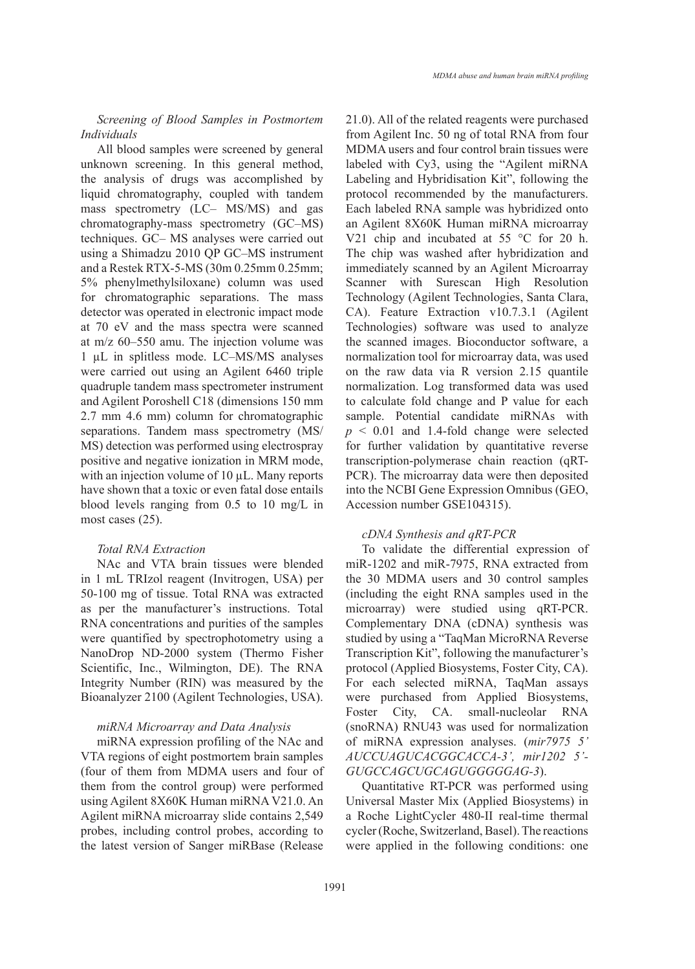# *Screening of Blood Samples in Postmortem Individuals*

All blood samples were screened by general unknown screening. In this general method, the analysis of drugs was accomplished by liquid chromatography, coupled with tandem mass spectrometry (LC– MS/MS) and gas chromatography-mass spectrometry (GC–MS) techniques. GC– MS analyses were carried out using a Shimadzu 2010 QP GC–MS instrument and a Restek RTX-5-MS (30m 0.25mm 0.25mm; 5% phenylmethylsiloxane) column was used for chromatographic separations. The mass detector was operated in electronic impact mode at 70 eV and the mass spectra were scanned at m/z 60–550 amu. The injection volume was 1 µL in splitless mode. LC–MS/MS analyses were carried out using an Agilent 6460 triple quadruple tandem mass spectrometer instrument and Agilent Poroshell C18 (dimensions 150 mm 2.7 mm 4.6 mm) column for chromatographic separations. Tandem mass spectrometry (MS/ MS) detection was performed using electrospray positive and negative ionization in MRM mode, with an injection volume of 10 µL. Many reports have shown that a toxic or even fatal dose entails blood levels ranging from 0.5 to 10 mg/L in most cases (25).

# *Total RNA Extraction*

NAc and VTA brain tissues were blended in 1 mL TRIzol reagent (Invitrogen, USA) per 50-100 mg of tissue. Total RNA was extracted as per the manufacturer's instructions. Total RNA concentrations and purities of the samples were quantified by spectrophotometry using a NanoDrop ND-2000 system (Thermo Fisher Scientific, Inc., Wilmington, DE). The RNA Integrity Number (RIN) was measured by the Bioanalyzer 2100 (Agilent Technologies, USA).

# *miRNA Microarray and Data Analysis*

miRNA expression profiling of the NAc and VTA regions of eight postmortem brain samples (four of them from MDMA users and four of them from the control group) were performed using Agilent 8X60K Human miRNA V21.0. An Agilent miRNA microarray slide contains 2,549 probes, including control probes, according to the latest version of Sanger miRBase (Release 21.0). All of the related reagents were purchased from Agilent Inc. 50 ng of total RNA from four MDMA users and four control brain tissues were labeled with Cy3, using the "Agilent miRNA Labeling and Hybridisation Kit", following the protocol recommended by the manufacturers. Each labeled RNA sample was hybridized onto an Agilent 8X60K Human miRNA microarray V21 chip and incubated at 55 °C for 20 h. The chip was washed after hybridization and immediately scanned by an Agilent Microarray Scanner with Surescan High Resolution Technology (Agilent Technologies, Santa Clara, CA). Feature Extraction v10.7.3.1 (Agilent Technologies) software was used to analyze the scanned images. Bioconductor software, a normalization tool for microarray data, was used on the raw data via R version 2.15 quantile normalization. Log transformed data was used to calculate fold change and P value for each sample. Potential candidate miRNAs with *p* < 0.01 and 1.4-fold change were selected for further validation by quantitative reverse transcription-polymerase chain reaction (qRT-PCR). The microarray data were then deposited into the NCBI Gene Expression Omnibus (GEO, Accession number GSE104315).

# *cDNA Synthesis and qRT-PCR*

To validate the differential expression of miR-1202 and miR-7975, RNA extracted from the 30 MDMA users and 30 control samples (including the eight RNA samples used in the microarray) were studied using qRT-PCR. Complementary DNA (cDNA) synthesis was studied by using a "TaqMan MicroRNA Reverse Transcription Kit", following the manufacturer's protocol (Applied Biosystems, Foster City, CA). For each selected miRNA, TaqMan assays were purchased from Applied Biosystems, Foster City, CA. small-nucleolar RNA (snoRNA) RNU43 was used for normalization of miRNA expression analyses. (*mir7975 5' AUCCUAGUCACGGCACCA-3', mir1202 5'- GUGCCAGCUGCAGUGGGGGAG-3*).

Quantitative RT-PCR was performed using Universal Master Mix (Applied Biosystems) in a Roche LightCycler 480-II real-time thermal cycler (Roche, Switzerland, Basel). The reactions were applied in the following conditions: one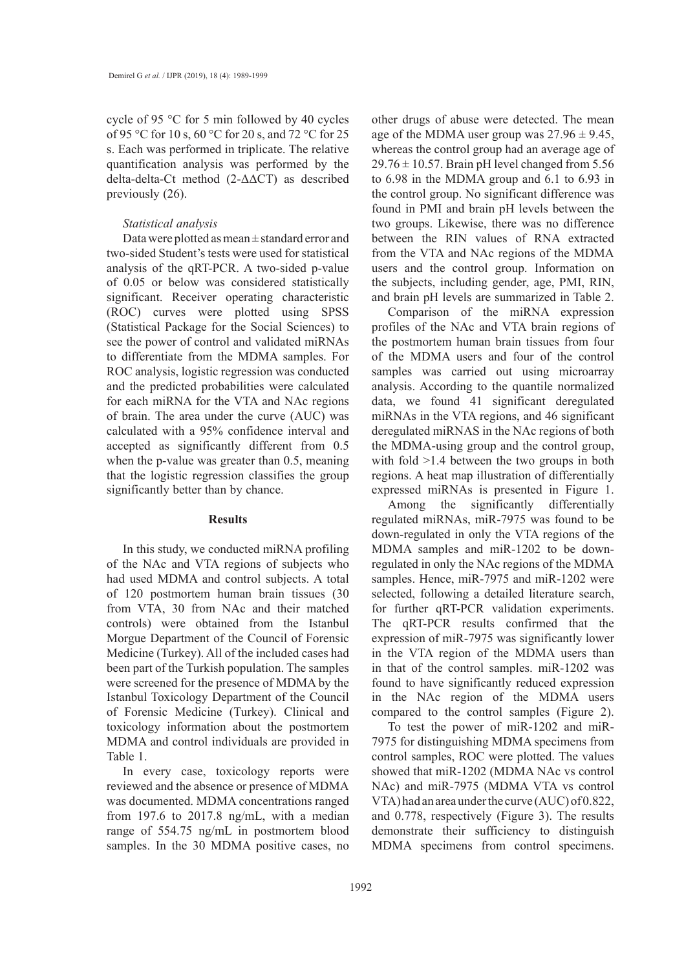cycle of 95 °C for 5 min followed by 40 cycles of 95 °C for 10 s, 60 °C for 20 s, and 72 °C for 25 s. Each was performed in triplicate. The relative quantification analysis was performed by the delta-delta-Ct method (2-ΔΔCT) as described previously (26).

## *Statistical analysis*

Data were plotted as mean  $\pm$  standard error and two-sided Student's tests were used for statistical analysis of the qRT-PCR. A two-sided p-value of 0.05 or below was considered statistically significant. Receiver operating characteristic (ROC) curves were plotted using SPSS (Statistical Package for the Social Sciences) to see the power of control and validated miRNAs to differentiate from the MDMA samples. For ROC analysis, logistic regression was conducted and the predicted probabilities were calculated for each miRNA for the VTA and NAc regions of brain. The area under the curve (AUC) was calculated with a 95% confidence interval and accepted as significantly different from 0.5 when the p-value was greater than 0.5, meaning that the logistic regression classifies the group significantly better than by chance.

#### **Results**

In this study, we conducted miRNA profiling of the NAc and VTA regions of subjects who had used MDMA and control subjects. A total of 120 postmortem human brain tissues (30 from VTA, 30 from NAc and their matched controls) were obtained from the Istanbul Morgue Department of the Council of Forensic Medicine (Turkey). All of the included cases had been part of the Turkish population. The samples were screened for the presence of MDMA by the Istanbul Toxicology Department of the Council of Forensic Medicine (Turkey). Clinical and toxicology information about the postmortem MDMA and control individuals are provided in Table 1.

In every case, toxicology reports were reviewed and the absence or presence of MDMA was documented. MDMA concentrations ranged from 197.6 to 2017.8 ng/mL, with a median range of 554.75 ng/mL in postmortem blood samples. In the 30 MDMA positive cases, no

other drugs of abuse were detected. The mean age of the MDMA user group was  $27.96 \pm 9.45$ , whereas the control group had an average age of  $29.76 \pm 10.57$ . Brain pH level changed from 5.56 to 6.98 in the MDMA group and 6.1 to 6.93 in the control group. No significant difference was found in PMI and brain pH levels between the two groups. Likewise, there was no difference between the RIN values of RNA extracted from the VTA and NAc regions of the MDMA users and the control group. Information on the subjects, including gender, age, PMI, RIN, and brain pH levels are summarized in Table 2.

Comparison of the miRNA expression profiles of the NAc and VTA brain regions of the postmortem human brain tissues from four of the MDMA users and four of the control samples was carried out using microarray analysis. According to the quantile normalized data, we found 41 significant deregulated miRNAs in the VTA regions, and 46 significant deregulated miRNAS in the NAc regions of both the MDMA-using group and the control group, with fold >1.4 between the two groups in both regions. A heat map illustration of differentially expressed miRNAs is presented in Figure 1.

Among the significantly differentially regulated miRNAs, miR-7975 was found to be down-regulated in only the VTA regions of the MDMA samples and miR-1202 to be downregulated in only the NAc regions of the MDMA samples. Hence, miR-7975 and miR-1202 were selected, following a detailed literature search, for further qRT-PCR validation experiments. The qRT-PCR results confirmed that the expression of miR-7975 was significantly lower in the VTA region of the MDMA users than in that of the control samples. miR-1202 was found to have significantly reduced expression in the NAc region of the MDMA users compared to the control samples (Figure 2).

To test the power of miR-1202 and miR-7975 for distinguishing MDMA specimens from control samples, ROC were plotted. The values showed that miR-1202 (MDMA NAc vs control NAc) and miR-7975 (MDMA VTA vs control VTA) had an area under the curve (AUC) of 0.822, and 0.778, respectively (Figure 3). The results demonstrate their sufficiency to distinguish MDMA specimens from control specimens.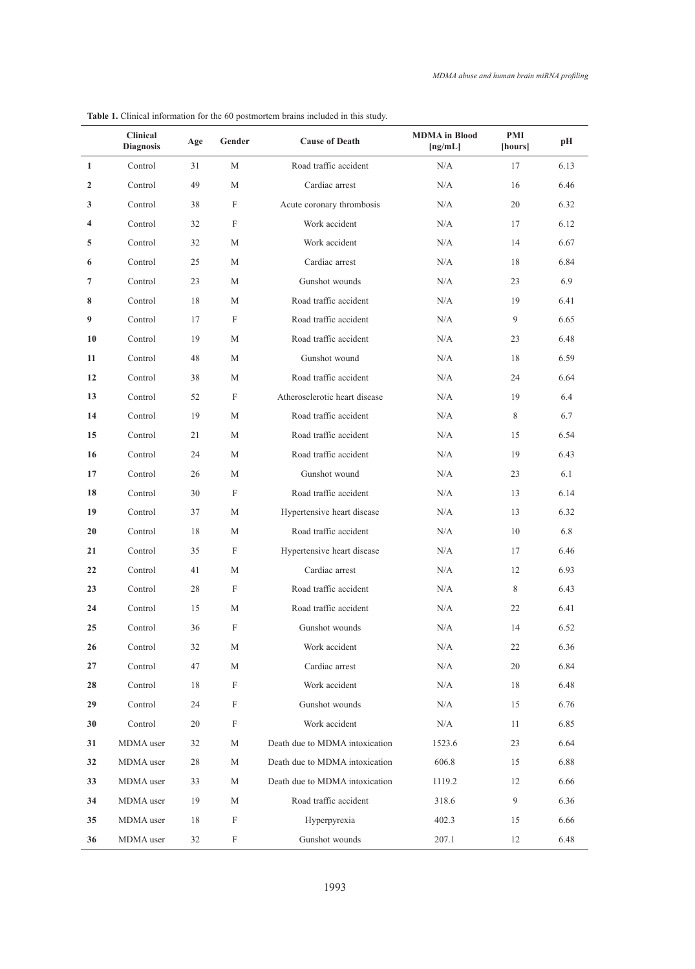|              | <b>Clinical</b><br><b>Diagnosis</b> | Age | Gender                    | <b>Cause of Death</b>          | <b>MDMA</b> in Blood<br>[ng/mL] | PMI<br>[hours] | pН   |
|--------------|-------------------------------------|-----|---------------------------|--------------------------------|---------------------------------|----------------|------|
| $\mathbf{1}$ | Control                             | 31  | M                         | Road traffic accident          | N/A                             | 17             | 6.13 |
| 2            | Control                             | 49  | М                         | Cardiac arrest                 | N/A                             | 16             | 6.46 |
| 3            | Control                             | 38  | F                         | Acute coronary thrombosis      | N/A                             | 20             | 6.32 |
| 4            | Control                             | 32  | F                         | Work accident                  | N/A                             | 17             | 6.12 |
| 5            | Control                             | 32  | М                         | Work accident                  | N/A                             | 14             | 6.67 |
| 6            | Control                             | 25  | М                         | Cardiac arrest                 | N/A                             | 18             | 6.84 |
| 7            | Control                             | 23  | М                         | Gunshot wounds                 | N/A                             | 23             | 6.9  |
| 8            | Control                             | 18  | М                         | Road traffic accident          | N/A                             | 19             | 6.41 |
| 9            | Control                             | 17  | F                         | Road traffic accident          | N/A                             | 9              | 6.65 |
| 10           | Control                             | 19  | М                         | Road traffic accident          | N/A                             | 23             | 6.48 |
| 11           | Control                             | 48  | М                         | Gunshot wound                  | N/A                             | 18             | 6.59 |
| 12           | Control                             | 38  | М                         | Road traffic accident          | N/A                             | 24             | 6.64 |
| 13           | Control                             | 52  | F                         | Atherosclerotic heart disease  | N/A                             | 19             | 6.4  |
| 14           | Control                             | 19  | М                         | Road traffic accident          | N/A                             | 8              | 6.7  |
| 15           | Control                             | 21  | М                         | Road traffic accident          | N/A                             | 15             | 6.54 |
| 16           | Control                             | 24  | М                         | Road traffic accident          | N/A                             | 19             | 6.43 |
| 17           | Control                             | 26  | М                         | Gunshot wound                  | N/A                             | 23             | 6.1  |
| 18           | Control                             | 30  | F                         | Road traffic accident          | N/A                             | 13             | 6.14 |
| 19           | Control                             | 37  | М                         | Hypertensive heart disease     | N/A                             | 13             | 6.32 |
| 20           | Control                             | 18  | М                         | Road traffic accident          | N/A                             | 10             | 6.8  |
| 21           | Control                             | 35  | F                         | Hypertensive heart disease     | N/A                             | 17             | 6.46 |
| 22           | Control                             | 41  | М                         | Cardiac arrest                 | N/A                             | 12             | 6.93 |
| 23           | Control                             | 28  | F                         | Road traffic accident          | N/A                             | 8              | 6.43 |
| 24           | Control                             | 15  | М                         | Road traffic accident          | N/A                             | 22             | 6.41 |
| 25           | Control                             | 36  | F                         | Gunshot wounds                 | N/A                             | 14             | 6.52 |
| 26           | Control                             | 32  | М                         | Work accident                  | N/A                             | 22             | 6.36 |
| 27           | Control                             | 47  | $\mathbf M$               | Cardiac arrest                 | N/A                             | 20             | 6.84 |
| 28           | Control                             | 18  | $\boldsymbol{\mathrm{F}}$ | Work accident                  | N/A                             | 18             | 6.48 |
| 29           | Control                             | 24  | $\boldsymbol{\mathrm{F}}$ | Gunshot wounds                 | N/A                             | 15             | 6.76 |
| 30           | Control                             | 20  | $\boldsymbol{\mathrm{F}}$ | Work accident                  | N/A                             | 11             | 6.85 |
| 31           | MDMA user                           | 32  | М                         | Death due to MDMA intoxication | 1523.6                          | 23             | 6.64 |
| 32           | MDMA user                           | 28  | М                         | Death due to MDMA intoxication | 606.8                           | 15             | 6.88 |
| 33           | MDMA user                           | 33  | М                         | Death due to MDMA intoxication | 1119.2                          | 12             | 6.66 |
| 34           | MDMA user                           | 19  | $\mathbf M$               | Road traffic accident          | 318.6                           | 9              | 6.36 |
| 35           | MDMA user                           | 18  | $\boldsymbol{\mathrm{F}}$ | Hyperpyrexia                   | 402.3                           | 15             | 6.66 |
| 36           | MDMA user                           | 32  | $\boldsymbol{\mathrm{F}}$ | Gunshot wounds                 | 207.1                           | 12             | 6.48 |

Table 1. Clinical information for the 60 postmortem brains included in this study.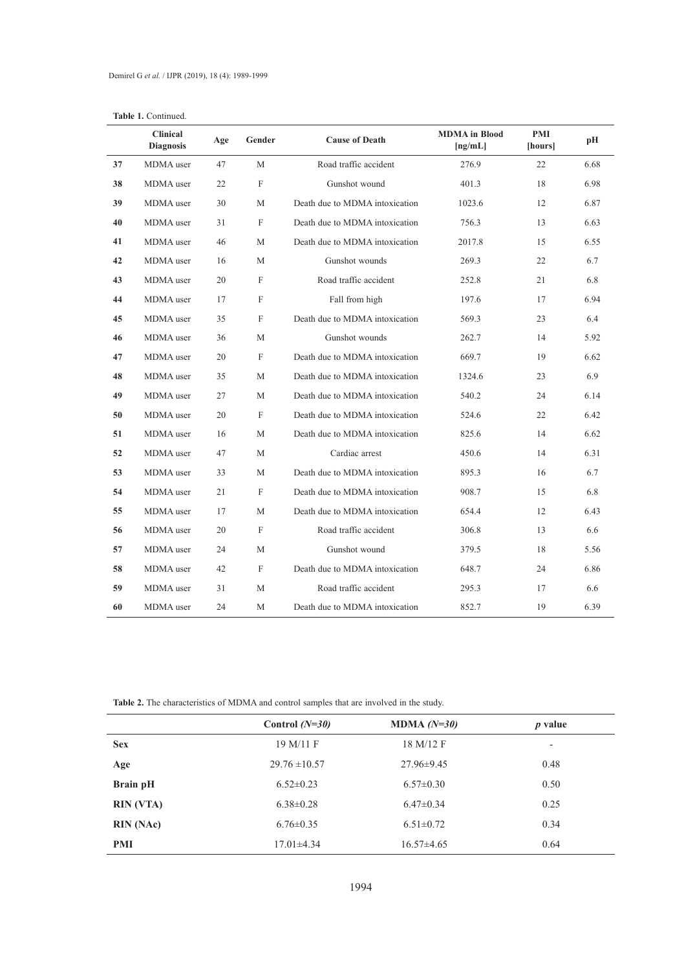# Table 1. Continued.

|    | <b>Clinical</b><br><b>Diagnosis</b> | Age | Gender                    | <b>Cause of Death</b>          | <b>MDMA</b> in Blood<br>[ng/mL] | PMI<br>[hours] | pH   |
|----|-------------------------------------|-----|---------------------------|--------------------------------|---------------------------------|----------------|------|
| 37 | MDMA user                           | 47  | M                         | Road traffic accident          | 276.9                           | 22             | 6.68 |
| 38 | MDMA user                           | 22  | $\boldsymbol{\mathrm{F}}$ | Gunshot wound                  | 401.3                           | 18             | 6.98 |
| 39 | MDMA user                           | 30  | М                         | Death due to MDMA intoxication | 1023.6                          | 12             | 6.87 |
| 40 | MDMA user                           | 31  | $\mathbf F$               | Death due to MDMA intoxication | 756.3                           | 13             | 6.63 |
| 41 | MDMA user                           | 46  | М                         | Death due to MDMA intoxication | 2017.8                          | 15             | 6.55 |
| 42 | MDMA user                           | 16  | М                         | Gunshot wounds                 | 269.3                           | 22             | 6.7  |
| 43 | MDMA user                           | 20  | F                         | Road traffic accident          | 252.8                           | 21             | 6.8  |
| 44 | MDMA user                           | 17  | F                         | Fall from high                 | 197.6                           | 17             | 6.94 |
| 45 | MDMA user                           | 35  | F                         | Death due to MDMA intoxication | 569.3                           | 23             | 6.4  |
| 46 | MDMA user                           | 36  | M                         | Gunshot wounds                 | 262.7                           | 14             | 5.92 |
| 47 | MDMA user                           | 20  | F                         | Death due to MDMA intoxication | 669.7                           | 19             | 6.62 |
| 48 | MDMA user                           | 35  | M                         | Death due to MDMA intoxication | 1324.6                          | 23             | 6.9  |
| 49 | MDMA user                           | 27  | M                         | Death due to MDMA intoxication | 540.2                           | 24             | 6.14 |
| 50 | MDMA user                           | 20  | $\boldsymbol{\mathrm{F}}$ | Death due to MDMA intoxication | 524.6                           | 22             | 6.42 |
| 51 | MDMA user                           | 16  | M                         | Death due to MDMA intoxication | 825.6                           | 14             | 6.62 |
| 52 | MDMA user                           | 47  | М                         | Cardiac arrest                 | 450.6                           | 14             | 6.31 |
| 53 | MDMA user                           | 33  | M                         | Death due to MDMA intoxication | 895.3                           | 16             | 6.7  |
| 54 | MDMA user                           | 21  | F                         | Death due to MDMA intoxication | 908.7                           | 15             | 6.8  |
| 55 | MDMA user                           | 17  | М                         | Death due to MDMA intoxication | 654.4                           | 12             | 6.43 |
| 56 | MDMA user                           | 20  | F                         | Road traffic accident          | 306.8                           | 13             | 6.6  |
| 57 | MDMA user                           | 24  | M                         | Gunshot wound                  | 379.5                           | 18             | 5.56 |
| 58 | MDMA user                           | 42  | F                         | Death due to MDMA intoxication | 648.7                           | 24             | 6.86 |
| 59 | MDMA user                           | 31  | М                         | Road traffic accident          | 295.3                           | 17             | 6.6  |
| 60 | MDMA user                           | 24  | М                         | Death due to MDMA intoxication | 852.7                           | 19             | 6.39 |

**Table 2.** The characteristics of MDMA and control samples that are involved in the study.

|                  | Control $(N=30)$  | MDMA $(N=30)$    | $p$ value                |
|------------------|-------------------|------------------|--------------------------|
| <b>Sex</b>       | 19 M/11 F         | 18 M/12 F        | $\overline{\phantom{a}}$ |
| Age              | $29.76 \pm 10.57$ | $27.96 \pm 9.45$ | 0.48                     |
| <b>Brain pH</b>  | $6.52 \pm 0.23$   | $6.57 \pm 0.30$  | 0.50                     |
| <b>RIN</b> (VTA) | $6.38 \pm 0.28$   | $6.47\pm0.34$    | 0.25                     |
| <b>RIN</b> (NAc) | $6.76 \pm 0.35$   | $6.51 \pm 0.72$  | 0.34                     |
| PMI              | $17.01 \pm 4.34$  | $16.57\pm4.65$   | 0.64                     |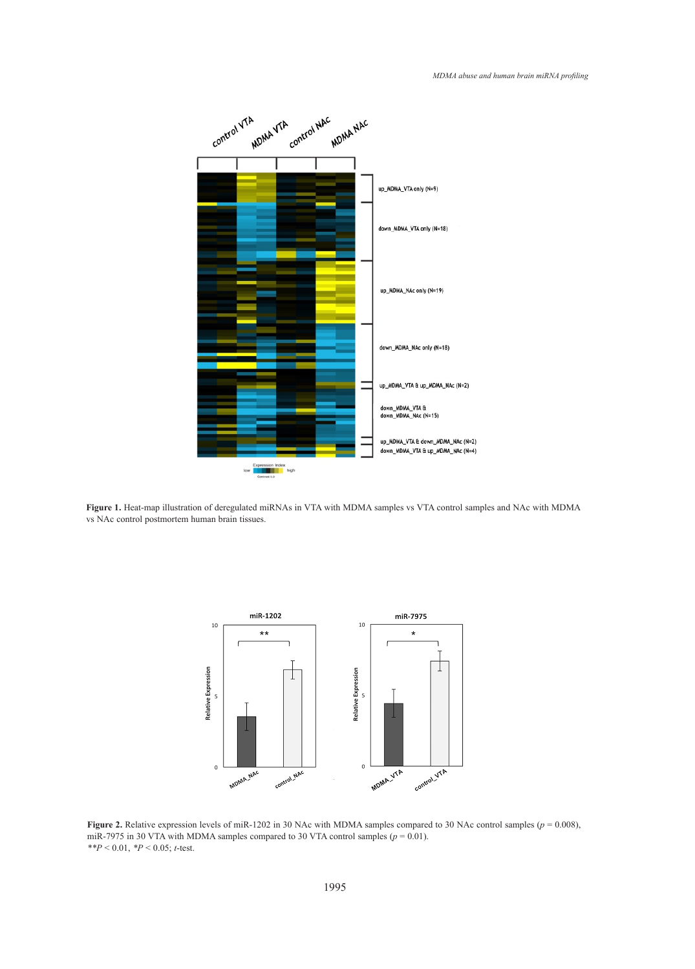

vs NAc control postmortem human brain tissues. Figure 1. Heat-map illustration of deregulated miRNAs in VTA with MDMA samples vs VTA control samples and NAc with MDMA



Figure 2. Relative expression levels of miR-1202 in 30 NAc with MDMA samples compared to 30 NAc control samples ( $p = 0.008$ ),  $*^*P < 0.01$ ,  $*P < 0.05$ ; *t*-test. miR-7975 in 30 VTA with MDMA samples compared to 30 VTA control samples  $(p = 0.01)$ .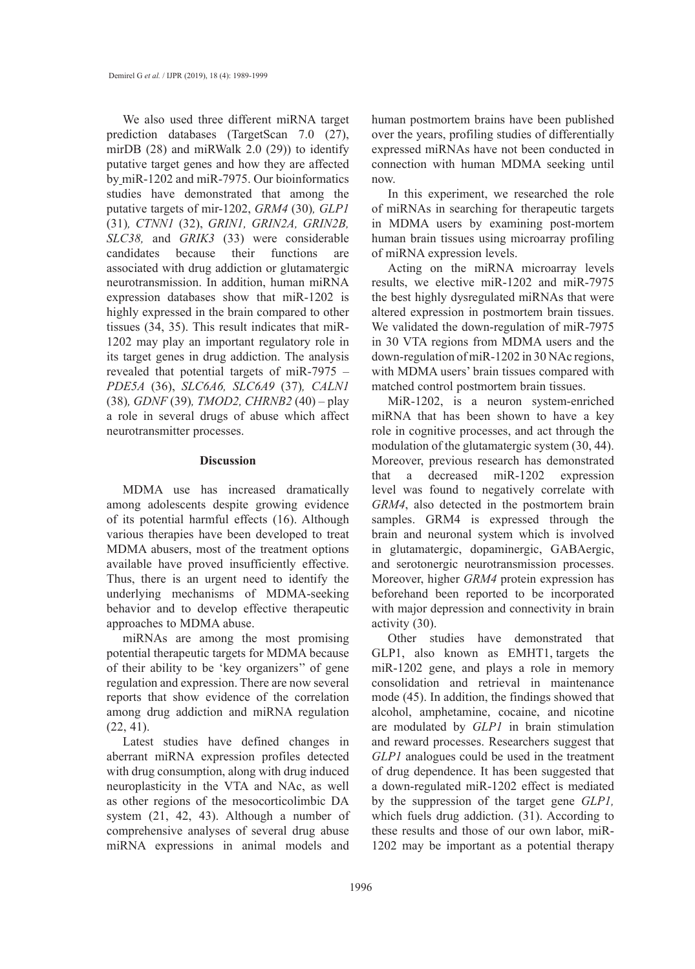We also used three different miRNA target prediction databases (TargetScan 7.0 (27), mirDB (28) and miRWalk 2.0 (29)) to identify putative target genes and how they are affected by miR-1202 and miR-7975. Our bioinformatics studies have demonstrated that among the putative targets of mir-1202, *GRM4* (30)*, GLP1*  (31)*, CTNN1* (32), *GRIN1, GRIN2A, GRIN2B, SLC38,* and *GRIK3* (33) were considerable candidates because their functions are associated with drug addiction or glutamatergic neurotransmission. In addition, human miRNA expression databases show that miR-1202 is highly expressed in the brain compared to other tissues (34, 35). This result indicates that miR-1202 may play an important regulatory role in its target genes in drug addiction. The analysis revealed that potential targets of miR-7975 – *PDE5A* (36), *SLC6A6, SLC6A9* (37)*, CALN1*  (38)*, GDNF* (39)*, TMOD2, CHRNB2* (40) – play a role in several drugs of abuse which affect neurotransmitter processes.

#### **Discussion**

MDMA use has increased dramatically among adolescents despite growing evidence of its potential harmful effects (16). Although various therapies have been developed to treat MDMA abusers, most of the treatment options available have proved insufficiently effective. Thus, there is an urgent need to identify the underlying mechanisms of MDMA-seeking behavior and to develop effective therapeutic approaches to MDMA abuse.

miRNAs are among the most promising potential therapeutic targets for MDMA because of their ability to be 'key organizers'' of gene regulation and expression. There are now several reports that show evidence of the correlation among drug addiction and miRNA regulation  $(22, 41)$ .

Latest studies have defined changes in aberrant miRNA expression profiles detected with drug consumption, along with drug induced neuroplasticity in the VTA and NAc, as well as other regions of the mesocorticolimbic DA system (21, 42, 43). Although a number of comprehensive analyses of several drug abuse miRNA expressions in animal models and

human postmortem brains have been published over the years, profiling studies of differentially expressed miRNAs have not been conducted in connection with human MDMA seeking until now.

In this experiment, we researched the role of miRNAs in searching for therapeutic targets in MDMA users by examining post-mortem human brain tissues using microarray profiling of miRNA expression levels.

Acting on the miRNA microarray levels results, we elective miR-1202 and miR-7975 the best highly dysregulated miRNAs that were altered expression in postmortem brain tissues. We validated the down-regulation of miR-7975 in 30 VTA regions from MDMA users and the down-regulation of miR-1202 in 30 NAc regions, with MDMA users' brain tissues compared with matched control postmortem brain tissues.

MiR-1202, is a neuron system-enriched miRNA that has been shown to have a key role in cognitive processes, and act through the modulation of the glutamatergic system (30, 44). Moreover, previous research has demonstrated that a decreased miR-1202 expression level was found to negatively correlate with *GRM4*, also detected in the postmortem brain samples. GRM4 is expressed through the brain and neuronal system which is involved in glutamatergic, dopaminergic, GABAergic, and serotonergic neurotransmission processes. Moreover, higher *GRM4* protein expression has beforehand been reported to be incorporated with major depression and connectivity in brain activity (30).

Other studies have demonstrated that GLP1, also known as EMHT1, targets the miR-1202 gene, and plays a role in memory consolidation and retrieval in maintenance mode (45). In addition, the findings showed that alcohol, amphetamine, cocaine, and nicotine are modulated by *GLP1* in brain stimulation and reward processes. Researchers suggest that *GLP1* analogues could be used in the treatment of drug dependence. It has been suggested that a down-regulated miR-1202 effect is mediated by the suppression of the target gene *GLP1,* which fuels drug addiction. (31). According to these results and those of our own labor, miR-1202 may be important as a potential therapy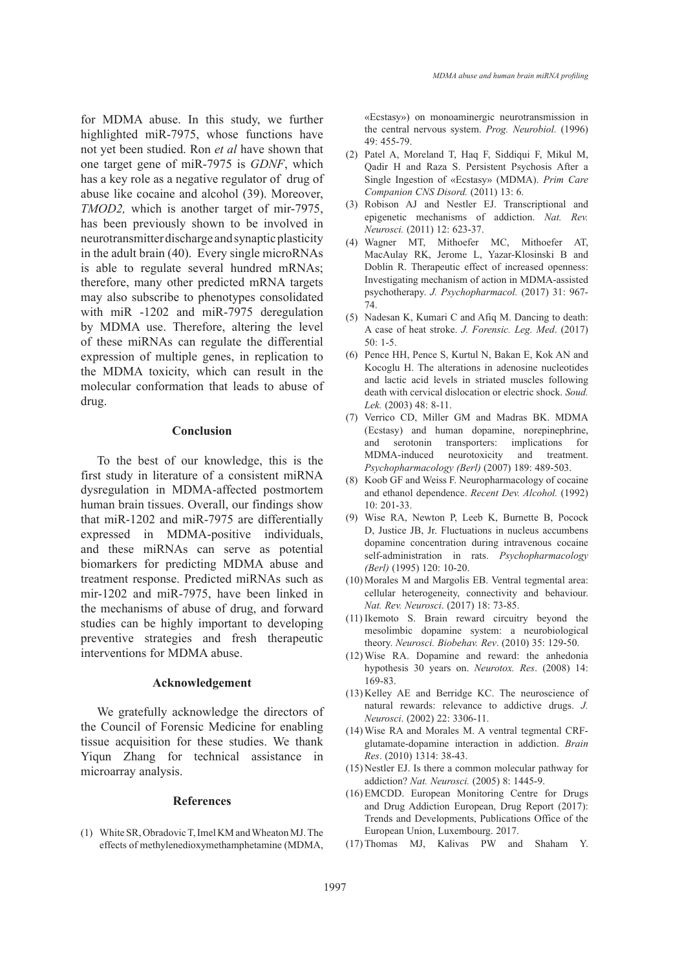for MDMA abuse. In this study, we further highlighted miR-7975, whose functions have not yet been studied. Ron *et al* have shown that one target gene of miR-7975 is *GDNF*, which has a key role as a negative regulator of drug of abuse like cocaine and alcohol (39). Moreover, *TMOD2,* which is another target of mir-7975, has been previously shown to be involved in neurotransmitter discharge and synaptic plasticity in the adult brain (40). Every single microRNAs is able to regulate several hundred mRNAs; therefore, many other predicted mRNA targets may also subscribe to phenotypes consolidated with miR -1202 and miR-7975 deregulation by MDMA use. Therefore, altering the level of these miRNAs can regulate the differential expression of multiple genes, in replication to the MDMA toxicity, which can result in the molecular conformation that leads to abuse of drug.

#### **Conclusion**

To the best of our knowledge, this is the first study in literature of a consistent miRNA dysregulation in MDMA-affected postmortem human brain tissues. Overall, our findings show that miR-1202 and miR-7975 are differentially expressed in MDMA-positive individuals, and these miRNAs can serve as potential biomarkers for predicting MDMA abuse and treatment response. Predicted miRNAs such as mir-1202 and miR-7975, have been linked in the mechanisms of abuse of drug, and forward studies can be highly important to developing preventive strategies and fresh therapeutic interventions for MDMA abuse.

# **Acknowledgement**

We gratefully acknowledge the directors of the Council of Forensic Medicine for enabling tissue acquisition for these studies. We thank Yiqun Zhang for technical assistance in microarray analysis.

#### **References**

(1) White SR, Obradovic T, Imel KM and Wheaton MJ. The effects of methylenedioxymethamphetamine (MDMA, «Ecstasy») on monoaminergic neurotransmission in the central nervous system. *Prog. Neurobiol.* (1996) 49: 455-79.

- Patel A, Moreland T, Haq F, Siddiqui F, Mikul M, (2) Qadir H and Raza S. Persistent Psychosis After a Single Ingestion of «Ecstasy» (MDMA). *Prim Care Companion CNS Disord.* (2011) 13: 6.
- (3) Robison AJ and Nestler EJ. Transcriptional and epigenetic mechanisms of addiction. *Nat. Rev. Neurosci.* (2011) 12: 623-37.
- Wagner MT, Mithoefer MC, Mithoefer AT, (4) MacAulay RK, Jerome L, Yazar-Klosinski B and Doblin R. Therapeutic effect of increased openness: Investigating mechanism of action in MDMA-assisted psychotherapy. *J. Psychopharmacol.* (2017) 31: 967- 74.
- $(5)$  Nadesan K, Kumari C and Afiq M. Dancing to death: A case of heat stroke. *J. Forensic. Leg. Med*. (2017) 50: 1-5.
- (6) Pence HH, Pence S, Kurtul N, Bakan E, Kok AN and Kocoglu H. The alterations in adenosine nucleotides and lactic acid levels in striated muscles following death with cervical dislocation or electric shock. *Soud. Lek.* (2003) 48: 8-11.
- (7) Verrico CD, Miller GM and Madras BK. MDMA (Ecstasy) and human dopamine, norepinephrine, and serotonin transporters: implications for MDMA-induced neurotoxicity and treatment. *Psychopharmacology (Berl)* (2007) 189: 489-503.
- (8) Koob GF and Weiss F. Neuropharmacology of cocaine and ethanol dependence. *Recent Dev. Alcohol.* (1992) 10: 201-33.
- Wise RA, Newton P, Leeb K, Burnette B, Pocock (9) D, Justice JB, Jr. Fluctuations in nucleus accumbens dopamine concentration during intravenous cocaine self-administration in rats. *Psychopharmacology (Berl)* (1995) 120: 10-20.
- (10) Morales M and Margolis EB. Ventral tegmental area: cellular heterogeneity, connectivity and behaviour. *Nat. Rev. Neurosci*. (2017) 18: 73-85.
- (11) Ikemoto S. Brain reward circuitry beyond the mesolimbic dopamine system: a neurobiological theory. *Neurosci. Biobehav. Rev*. (2010) 35: 129-50.
- Wise RA. Dopamine and reward: the anhedonia (12) hypothesis 30 years on. *Neurotox. Res*. (2008) 14: 169-83.
- $(13)$  Kelley AE and Berridge KC. The neuroscience of natural rewards: relevance to addictive drugs. *J. Neurosci*. (2002) 22: 3306-11.
- Wise RA and Morales M. A ventral tegmental CRF-(14) glutamate-dopamine interaction in addiction. *Brain Res*. (2010) 1314: 38-43.
- (15) Nestler EJ. Is there a common molecular pathway for addiction? *Nat. Neurosci.* (2005) 8: 1445-9.
- (16) EMCDD. European Monitoring Centre for Drugs and Drug Addiction European, Drug Report (2017): Trends and Developments, Publications Office of the European Union, Luxembourg. 2017.
- (17) Thomas MJ, Kalivas PW and Shaham Y.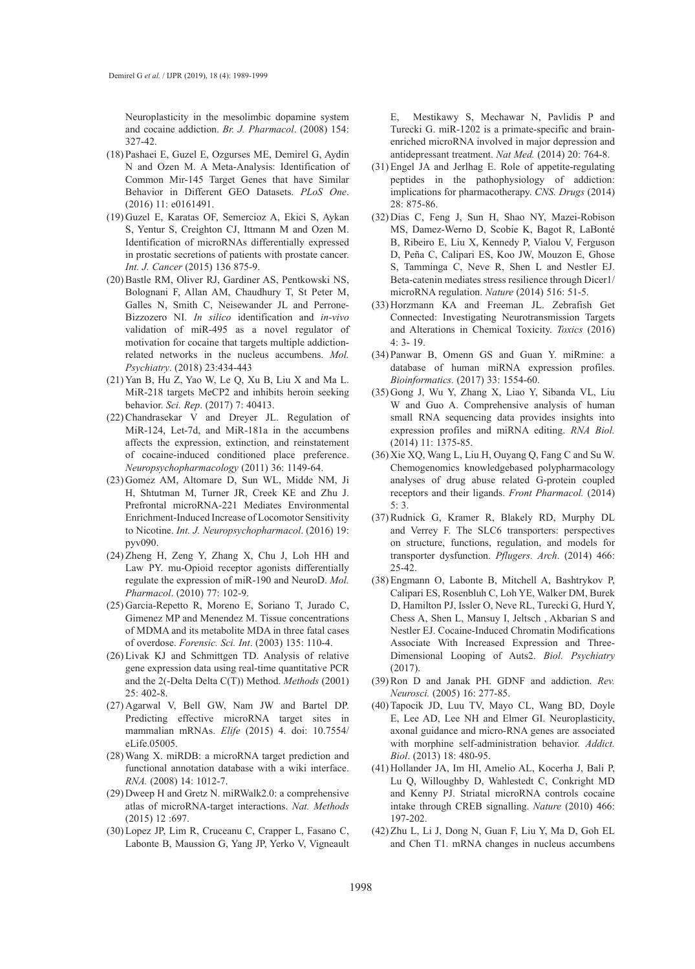Neuroplasticity in the mesolimbic dopamine system and cocaine addiction. *Br. J. Pharmacol*. (2008) 154: 327-42.

- Pashaei E, Guzel E, Ozgurses ME, Demirel G, Aydin (18) N and Ozen M. A Meta-Analysis: Identification of Common Mir-145 Target Genes that have Similar Behavior in Different GEO Datasets. *PLoS One*. (2016) 11: e0161491.
- (19) Guzel E, Karatas OF, Semercioz A, Ekici S, Aykan S, Yentur S, Creighton CJ, Ittmann M and Ozen M. Identification of microRNAs differentially expressed in prostatic secretions of patients with prostate cancer. *Int. J. Cancer* (2015) 136 875-9.
- (20) Bastle RM, Oliver RJ, Gardiner AS, Pentkowski NS, Bolognani F, Allan AM, Chaudhury T, St Peter M, Galles N, Smith C, Neisewander JL and Perrone-Bizzozero NI. *In silico* identification and *in-vivo* validation of miR-495 as a novel regulator of motivation for cocaine that targets multiple addictionrelated networks in the nucleus accumbens. *Mol. Psychiatry*. (2018) 23:434-443
- $(21)$  Yan B, Hu Z, Yao W, Le Q, Xu B, Liu X and Ma L. MiR-218 targets MeCP2 and inhibits heroin seeking behavior. *Sci. Rep*. (2017) 7: 40413.
- (22) Chandrasekar V and Dreyer JL. Regulation of MiR-124, Let-7d, and MiR-181a in the accumbens affects the expression, extinction, and reinstatement of cocaine-induced conditioned place preference. *Neuropsychopharmacology* (2011) 36: 1149-64.
- (23) Gomez AM, Altomare D, Sun WL, Midde NM, Ji H, Shtutman M, Turner JR, Creek KE and Zhu J. Prefrontal microRNA-221 Mediates Environmental Enrichment-Induced Increase of Locomotor Sensitivity to Nicotine. *Int. J. Neuropsychopharmacol*. (2016) 19: pyv090.
- (24) Zheng H, Zeng Y, Zhang X, Chu J, Loh HH and Law PY. mu-Opioid receptor agonists differentially regulate the expression of miR-190 and NeuroD. *Mol. Pharmacol*. (2010) 77: 102-9.
- (25) Garcia-Repetto R, Moreno E, Soriano T, Jurado C, Gimenez MP and Menendez M. Tissue concentrations of MDMA and its metabolite MDA in three fatal cases of overdose. *Forensic. Sci. Int*. (2003) 135: 110-4.
- (26) Livak KJ and Schmittgen TD. Analysis of relative gene expression data using real-time quantitative PCR and the 2(-Delta Delta C(T)) Method. *Methods* (2001) 25: 402-8.
- (27) Agarwal V, Bell GW, Nam JW and Bartel DP. Predicting effective microRNA target sites in mammalian mRNAs. *Elife* (2015) 4. doi: 10.7554/ eLife.05005.
- Wang X. miRDB: a microRNA target prediction and (28) functional annotation database with a wiki interface. *RNA.* (2008) 14: 1012-7.
- $(29)$  Dweep H and Gretz N. miRWalk2.0: a comprehensive atlas of microRNA-target interactions. *Nat. Methods* (2015) 12 :697.
- (30) Lopez JP, Lim R, Cruceanu C, Crapper L, Fasano C, Labonte B, Maussion G, Yang JP, Yerko V, Vigneault

E, Mestikawy S, Mechawar N, Pavlidis P and Turecki G. miR-1202 is a primate-specific and brainenriched microRNA involved in major depression and antidepressant treatment. *Nat Med.* (2014) 20: 764-8.

- (31) Engel JA and Jerlhag E. Role of appetite-regulating peptides in the pathophysiology of addiction: implications for pharmacotherapy. *CNS. Drugs* (2014) 28: 875-86.
- (32) Dias C, Feng J, Sun H, Shao NY, Mazei-Robison MS, Damez-Werno D, Scobie K, Bagot R, LaBonté B, Ribeiro E, Liu X, Kennedy P, Vialou V, Ferguson D, Peña C, Calipari ES, Koo JW, Mouzon E, Ghose S, Tamminga C, Neve R, Shen L and Nestler EJ. Beta-catenin mediates stress resilience through Dicer1/ microRNA regulation. *Nature* (2014) 516: 51-5.
- (33) Horzmann KA and Freeman JL. Zebrafish Get Connected: Investigating Neurotransmission Targets and Alterations in Chemical Toxicity. *Toxics* (2016) 4: 3- 19.
- Panwar B, Omenn GS and Guan Y. miRmine: a (34) database of human miRNA expression profiles. *Bioinformatics.* (2017) 33: 1554-60.
- (35) Gong J, Wu Y, Zhang X, Liao Y, Sibanda VL, Liu W and Guo A. Comprehensive analysis of human small RNA sequencing data provides insights into expression profiles and miRNA editing. *RNA Biol.* (2014) 11: 1375-85.
- $(36)$  Xie XQ, Wang L, Liu H, Ouyang Q, Fang C and Su W. Chemogenomics knowledgebased polypharmacology analyses of drug abuse related G-protein coupled receptors and their ligands. *Front Pharmacol.* (2014) 5: 3.
- (37) Rudnick G, Kramer R, Blakely RD, Murphy DL and Verrey F. The SLC6 transporters: perspectives on structure, functions, regulation, and models for transporter dysfunction. *Pflugers. Arch*. (2014) 466: 25-42.
- Engmann O, Labonte B, Mitchell A, Bashtrykov P, (38) Calipari ES, Rosenbluh C, Loh YE, Walker DM, Burek D, Hamilton PJ, Issler O, Neve RL, Turecki G, Hurd Y, Chess A, Shen L, Mansuy I, Jeltsch , Akbarian S and Nestler EJ. Cocaine-Induced Chromatin Modifications Associate With Increased Expression and Three-Dimensional Looping of Auts2. *Biol. Psychiatry* (2017).
- (39) Ron D and Janak PH. GDNF and addiction. *Rev. Neurosci.* (2005) 16: 277-85.
- (40) Tapocik JD, Luu TV, Mayo CL, Wang BD, Doyle E, Lee AD, Lee NH and Elmer GI. Neuroplasticity, axonal guidance and micro-RNA genes are associated with morphine self-administration behavior. *Addict. Biol*. (2013) 18: 480-95.
- (41) Hollander JA, Im HI, Amelio AL, Kocerha J, Bali P, Lu Q, Willoughby D, Wahlestedt C, Conkright MD and Kenny PJ. Striatal microRNA controls cocaine intake through CREB signalling. *Nature* (2010) 466: 197-202.
- (42) Zhu L, Li J, Dong N, Guan F, Liu Y, Ma D, Goh EL and Chen T1. mRNA changes in nucleus accumbens